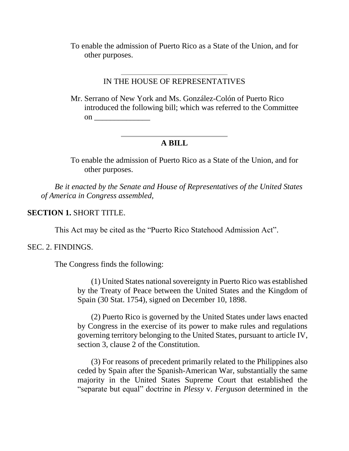To enable the admission of Puerto Rico as a State of the Union, and for other purposes.

### IN THE HOUSE OF REPRESENTATIVES

Mr. Serrano of New York and Ms. González-Colón of Puerto Rico introduced the following bill; which was referred to the Committee on \_\_\_\_\_\_\_\_\_\_\_\_\_\_

# **A BILL**

To enable the admission of Puerto Rico as a State of the Union, and for other purposes.

*Be it enacted by the Senate and House of Representatives of the United States of America in Congress assembled,* 

### **SECTION 1.** SHORT TITLE.

This Act may be cited as the "Puerto Rico Statehood Admission Act".

#### SEC. 2. FINDINGS.

The Congress finds the following:

(1) United States national sovereignty in Puerto Rico was established by the Treaty of Peace between the United States and the Kingdom of Spain (30 Stat. 1754), signed on December 10, 1898.

(2) Puerto Rico is governed by the United States under laws enacted by Congress in the exercise of its power to make rules and regulations governing territory belonging to the United States, pursuant to article IV, section 3, clause 2 of the Constitution.

(3) For reasons of precedent primarily related to the Philippines also ceded by Spain after the Spanish-American War, substantially the same majority in the United States Supreme Court that established the "separate but equal" doctrine in *Plessy* v. *Ferguson* determined in the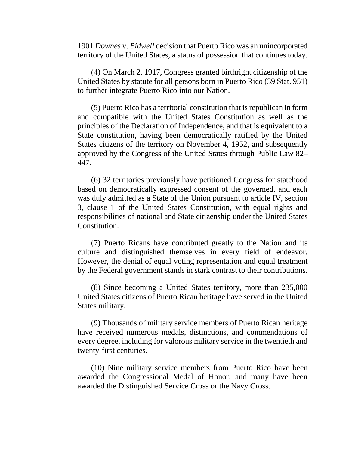1901 *Downes* v. *Bidwell* decision that Puerto Rico was an unincorporated territory of the United States, a status of possession that continues today.

(4) On March 2, 1917, Congress granted birthright citizenship of the United States by statute for all persons born in Puerto Rico (39 Stat. 951) to further integrate Puerto Rico into our Nation.

(5) Puerto Rico has a territorial constitution that is republican in form and compatible with the United States Constitution as well as the principles of the Declaration of Independence, and that is equivalent to a State constitution, having been democratically ratified by the United States citizens of the territory on November 4, 1952, and subsequently approved by the Congress of the United States through Public Law 82– 447.

(6) 32 territories previously have petitioned Congress for statehood based on democratically expressed consent of the governed, and each was duly admitted as a State of the Union pursuant to article IV, section 3, clause 1 of the United States Constitution, with equal rights and responsibilities of national and State citizenship under the United States Constitution.

(7) Puerto Ricans have contributed greatly to the Nation and its culture and distinguished themselves in every field of endeavor. However, the denial of equal voting representation and equal treatment by the Federal government stands in stark contrast to their contributions.

(8) Since becoming a United States territory, more than 235,000 United States citizens of Puerto Rican heritage have served in the United States military.

(9) Thousands of military service members of Puerto Rican heritage have received numerous medals, distinctions, and commendations of every degree, including for valorous military service in the twentieth and twenty-first centuries.

(10) Nine military service members from Puerto Rico have been awarded the Congressional Medal of Honor, and many have been awarded the Distinguished Service Cross or the Navy Cross.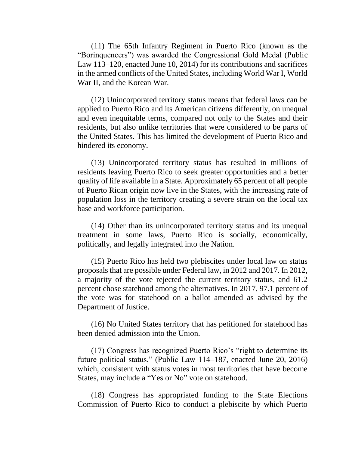(11) The 65th Infantry Regiment in Puerto Rico (known as the "Borinqueneers") was awarded the Congressional Gold Medal (Public Law 113–120, enacted June 10, 2014) for its contributions and sacrifices in the armed conflicts of the United States, including World War I, World War II, and the Korean War.

(12) Unincorporated territory status means that federal laws can be applied to Puerto Rico and its American citizens differently, on unequal and even inequitable terms, compared not only to the States and their residents, but also unlike territories that were considered to be parts of the United States. This has limited the development of Puerto Rico and hindered its economy.

(13) Unincorporated territory status has resulted in millions of residents leaving Puerto Rico to seek greater opportunities and a better quality of life available in a State. Approximately 65 percent of all people of Puerto Rican origin now live in the States, with the increasing rate of population loss in the territory creating a severe strain on the local tax base and workforce participation.

(14) Other than its unincorporated territory status and its unequal treatment in some laws, Puerto Rico is socially, economically, politically, and legally integrated into the Nation.

(15) Puerto Rico has held two plebiscites under local law on status proposals that are possible under Federal law, in 2012 and 2017. In 2012, a majority of the vote rejected the current territory status, and 61.2 percent chose statehood among the alternatives. In 2017, 97.1 percent of the vote was for statehood on a ballot amended as advised by the Department of Justice.

(16) No United States territory that has petitioned for statehood has been denied admission into the Union.

(17) Congress has recognized Puerto Rico's "right to determine its future political status," (Public Law 114–187, enacted June 20, 2016) which, consistent with status votes in most territories that have become States, may include a "Yes or No" vote on statehood.

(18) Congress has appropriated funding to the State Elections Commission of Puerto Rico to conduct a plebiscite by which Puerto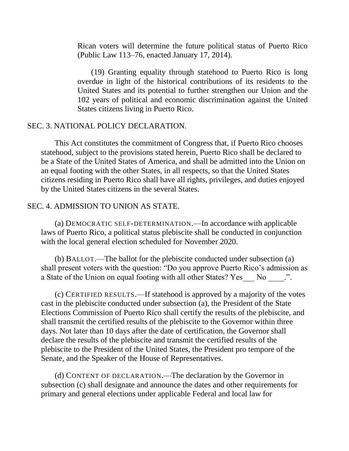Rican voters will determine the future political status of Puerto Rico (Public Law 113–76, enacted January 17, 2014).

(19) Granting equality through statehood to Puerto Rico is long overdue in light of the historical contributions of its residents to the United States and its potential to further strengthen our Union and the 102 years of political and economic discrimination against the United States citizens living in Puerto Rico.

## SEC. 3. NATIONAL POLICY DECLARATION.

This Act constitutes the commitment of Congress that, if Puerto Rico chooses statehood, subject to the provisions stated herein, Puerto Rico shall be declared to be a State of the United States of America, and shall be admitted into the Union on an equal footing with the other States, in all respects, so that the United States citizens residing in Puerto Rico shall have all rights, privileges, and duties enjoyed by the United States citizens in the several States.

#### SEC. 4. ADMISSION TO UNION AS STATE.

(a) DEMOCRATIC SELF-DETERMINATION.—In accordance with applicable laws of Puerto Rico, a political status plebiscite shall be conducted in conjunction with the local general election scheduled for November 2020.

(b) BALLOT.—The ballot for the plebiscite conducted under subsection (a) shall present voters with the question: "Do you approve Puerto Rico's admission as a State of the Union on equal footing with all other States? Yes No  $\ldots$ .

(c) CERTIFIED RESULTS.—If statehood is approved by a majority of the votes cast in the plebiscite conducted under subsection (a), the President of the State Elections Commission of Puerto Rico shall certify the results of the plebiscite, and shall transmit the certified results of the plebiscite to the Governor within three days. Not later than 10 days after the date of certification, the Governor shall declare the results of the plebiscite and transmit the certified results of the plebiscite to the President of the United States, the President pro tempore of the Senate, and the Speaker of the House of Representatives.

(d) CONTENT OF DECLARATION.—The declaration by the Governor in subsection (c) shall designate and announce the dates and other requirements for primary and general elections under applicable Federal and local law for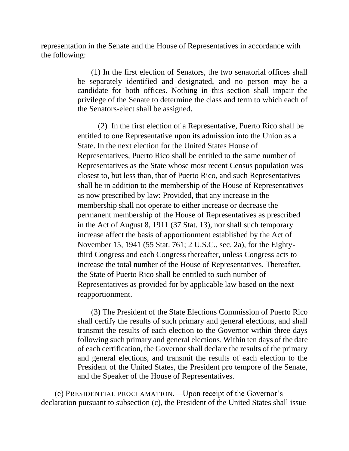representation in the Senate and the House of Representatives in accordance with the following:

> (1) In the first election of Senators, the two senatorial offices shall be separately identified and designated, and no person may be a candidate for both offices. Nothing in this section shall impair the privilege of the Senate to determine the class and term to which each of the Senators-elect shall be assigned.

(2) In the first election of a Representative, Puerto Rico shall be entitled to one Representative upon its admission into the Union as a State. In the next election for the United States House of Representatives, Puerto Rico shall be entitled to the same number of Representatives as the State whose most recent Census population was closest to, but less than, that of Puerto Rico, and such Representatives shall be in addition to the membership of the House of Representatives as now prescribed by law: Provided, that any increase in the membership shall not operate to either increase or decrease the permanent membership of the House of Representatives as prescribed in the Act of August 8, 1911 (37 Stat. 13), nor shall such temporary increase affect the basis of apportionment established by the Act of November 15, 1941 (55 Stat. 761; 2 U.S.C., sec. 2a), for the Eightythird Congress and each Congress thereafter, unless Congress acts to increase the total number of the House of Representatives. Thereafter, the State of Puerto Rico shall be entitled to such number of Representatives as provided for by applicable law based on the next reapportionment.

(3) The President of the State Elections Commission of Puerto Rico shall certify the results of such primary and general elections, and shall transmit the results of each election to the Governor within three days following such primary and general elections. Within ten days of the date of each certification, the Governor shall declare the results of the primary and general elections, and transmit the results of each election to the President of the United States, the President pro tempore of the Senate, and the Speaker of the House of Representatives.

(e) PRESIDENTIAL PROCLAMATION.—Upon receipt of the Governor's declaration pursuant to subsection (c), the President of the United States shall issue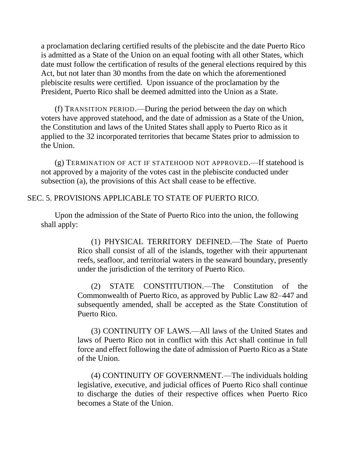a proclamation declaring certified results of the plebiscite and the date Puerto Rico is admitted as a State of the Union on an equal footing with all other States, which date must follow the certification of results of the general elections required by this Act, but not later than 30 months from the date on which the aforementioned plebiscite results were certified. Upon issuance of the proclamation by the President, Puerto Rico shall be deemed admitted into the Union as a State.

(f) TRANSITION PERIOD.—During the period between the day on which voters have approved statehood, and the date of admission as a State of the Union, the Constitution and laws of the United States shall apply to Puerto Rico as it applied to the 32 incorporated territories that became States prior to admission to the Union.

(g) TERMINATION OF ACT IF STATEHOOD NOT APPROVED.—If statehood is not approved by a majority of the votes cast in the plebiscite conducted under subsection (a), the provisions of this Act shall cease to be effective.

## SEC. 5. PROVISIONS APPLICABLE TO STATE OF PUERTO RICO.

Upon the admission of the State of Puerto Rico into the union, the following shall apply:

> (1) PHYSICAL TERRITORY DEFINED.—The State of Puerto Rico shall consist of all of the islands, together with their appurtenant reefs, seafloor, and territorial waters in the seaward boundary, presently under the jurisdiction of the territory of Puerto Rico.

> (2) STATE CONSTITUTION.—The Constitution of the Commonwealth of Puerto Rico, as approved by Public Law 82–447 and subsequently amended, shall be accepted as the State Constitution of Puerto Rico.

> (3) CONTINUITY OF LAWS.—All laws of the United States and laws of Puerto Rico not in conflict with this Act shall continue in full force and effect following the date of admission of Puerto Rico as a State of the Union.

> (4) CONTINUITY OF GOVERNMENT.—The individuals holding legislative, executive, and judicial offices of Puerto Rico shall continue to discharge the duties of their respective offices when Puerto Rico becomes a State of the Union.